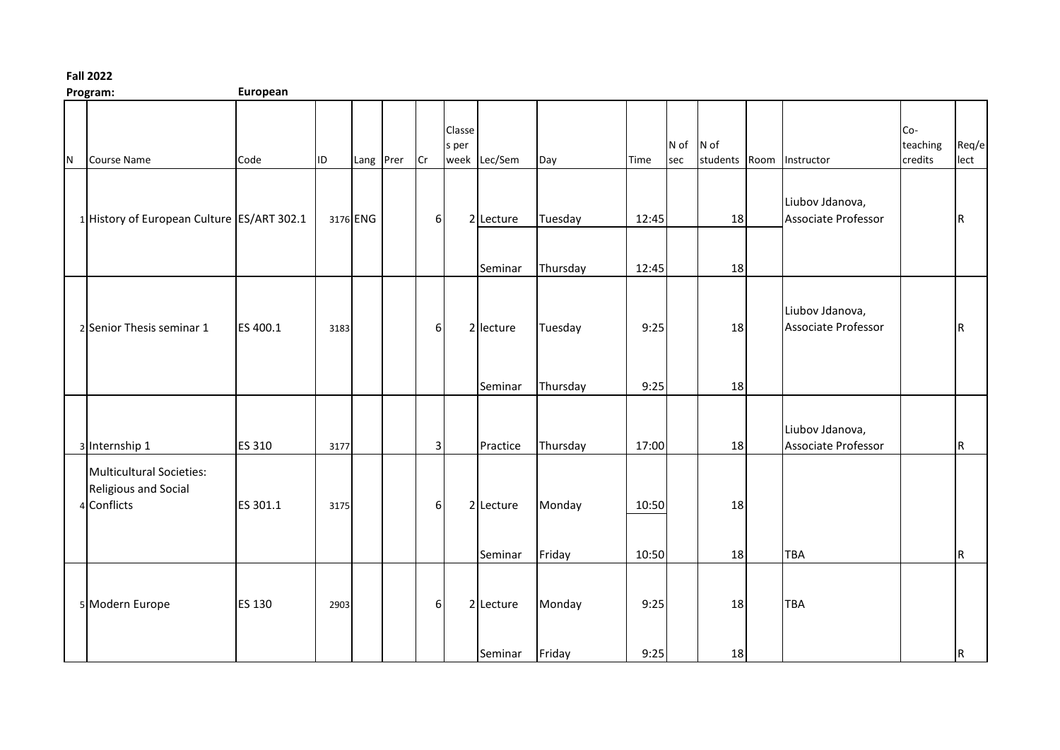## **Fall 2022**

| Program:       |                                                                        | European      |      |           |  |                |                 |                      |                     |                |             |                       |  |                                               |                              |               |
|----------------|------------------------------------------------------------------------|---------------|------|-----------|--|----------------|-----------------|----------------------|---------------------|----------------|-------------|-----------------------|--|-----------------------------------------------|------------------------------|---------------|
| N <sub>1</sub> | <b>Course Name</b>                                                     | Code          | ID.  | Lang Prer |  | Cr             | Classe<br>s per | week Lec/Sem         | Day                 | Time           | N of<br>sec | N of<br>students Room |  | Instructor                                    | $Co-$<br>teaching<br>credits | Req/e<br>lect |
|                | 1 History of European Culture ES/ART 302.1                             |               |      | 3176 ENG  |  | $6 \mid$       |                 | 2 Lecture<br>Seminar | Tuesday<br>Thursday | 12:45<br>12:45 |             | 18<br>18              |  | Liubov Jdanova,<br>Associate Professor        |                              | IR.           |
|                | 2 Senior Thesis seminar 1                                              | ES 400.1      | 3183 |           |  | 6              |                 | 2 lecture<br>Seminar | Tuesday<br>Thursday | 9:25<br>9:25   |             | 18<br>18              |  | Liubov Jdanova,<br><b>Associate Professor</b> |                              | R.            |
|                | 3 Internship 1                                                         | ES 310        | 3177 |           |  | 3 <sup>1</sup> |                 | Practice             | Thursday            | 17:00          |             | 18                    |  | Liubov Jdanova,<br>Associate Professor        |                              | R             |
|                | Multicultural Societies:<br><b>Religious and Social</b><br>4 Conflicts | ES 301.1      | 3175 |           |  | $6 \mid$       |                 | 2 Lecture<br>Seminar | Monday<br>Friday    | 10:50<br>10:50 |             | 18<br>18              |  | <b>TBA</b>                                    |                              | R.            |
|                | 5 Modern Europe                                                        | <b>ES 130</b> | 2903 |           |  | 6              |                 | 2 Lecture<br>Seminar | Monday<br>Friday    | 9:25<br>9:25   |             | 18<br>18              |  | <b>TBA</b>                                    |                              | IR.           |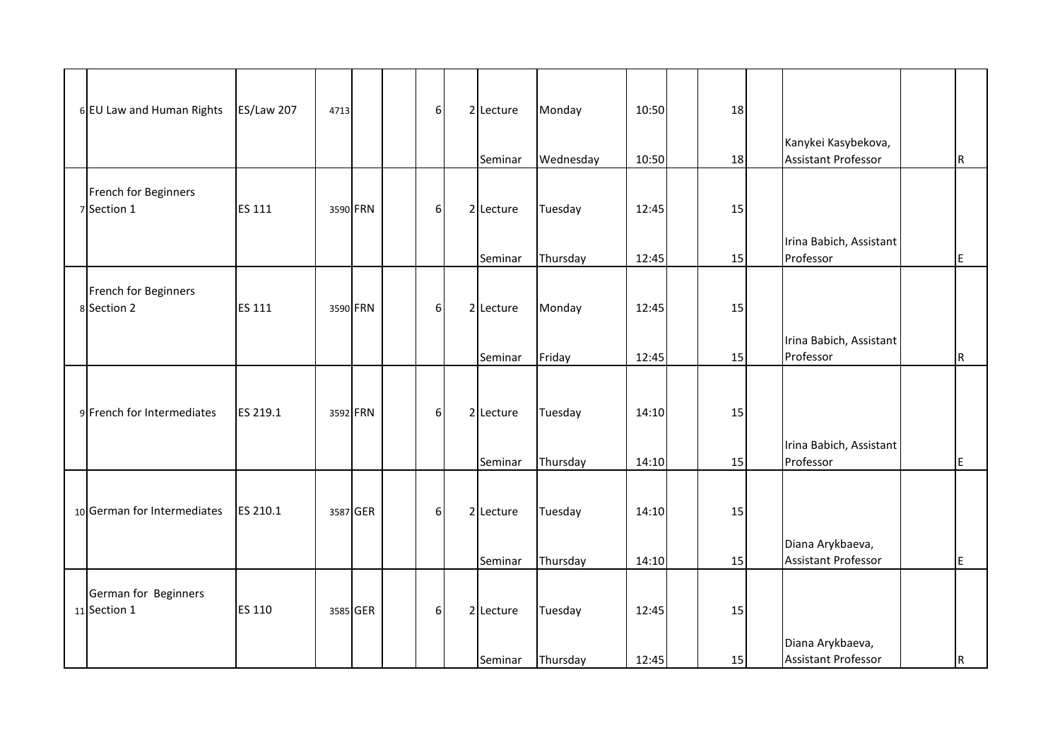| 6 EU Law and Human Rights            | <b>ES/Law 207</b> | 4713 |          | 6 <sup>1</sup> | 2 Lecture | Monday    | 10:50 |    | 18 |                                                |             |
|--------------------------------------|-------------------|------|----------|----------------|-----------|-----------|-------|----|----|------------------------------------------------|-------------|
|                                      |                   |      |          |                | Seminar   | Wednesday | 10:50 |    | 18 | Kanykei Kasybekova,<br>Assistant Professor     | $\mathsf R$ |
| French for Beginners<br>7 Section 1  | <b>ES 111</b>     |      | 3590 FRN | $6 \mid$       | 2 Lecture | Tuesday   | 12:45 | 15 |    |                                                |             |
|                                      |                   |      |          |                | Seminar   | Thursday  | 12:45 |    | 15 | Irina Babich, Assistant<br>Professor           | E           |
| French for Beginners<br>8 Section 2  | <b>ES 111</b>     |      | 3590 FRN | 6              | 2 Lecture | Monday    | 12:45 |    | 15 |                                                |             |
|                                      |                   |      |          |                | Seminar   | Friday    | 12:45 |    | 15 | Irina Babich, Assistant<br>Professor           | $\mathsf R$ |
| 9 French for Intermediates           | ES 219.1          |      | 3592 FRN | 6              | 2 Lecture | Tuesday   | 14:10 |    | 15 |                                                |             |
|                                      |                   |      |          |                | Seminar   | Thursday  | 14:10 |    | 15 | Irina Babich, Assistant<br>Professor           | E           |
| 10 German for Intermediates          | ES 210.1          |      | 3587 GER | 6 <sup>1</sup> | 2 Lecture | Tuesday   | 14:10 |    | 15 |                                                |             |
|                                      |                   |      |          |                | Seminar   | Thursday  | 14:10 |    | 15 | Diana Arykbaeva,<br><b>Assistant Professor</b> | E           |
| German for Beginners<br>11 Section 1 | <b>ES 110</b>     |      | 3585 GER | 6              | 2 Lecture | Tuesday   | 12:45 | 15 |    |                                                |             |
|                                      |                   |      |          |                | Seminar   | Thursday  | 12:45 |    | 15 | Diana Arykbaeva,<br><b>Assistant Professor</b> | R           |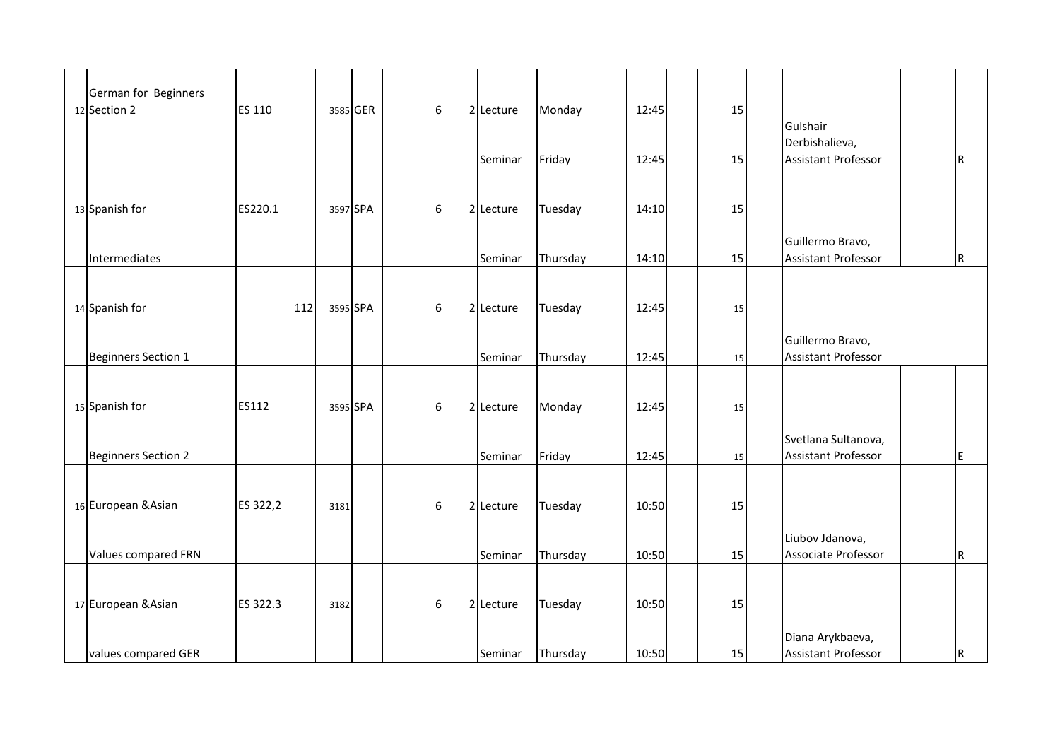| German for Beginners<br>12 Section 2 | <b>ES 110</b> | 3585 GER | $6 \mid$ | 2 Lecture | Monday   | 12:45 | 15 | Gulshair<br>Derbishalieva,                        |             |
|--------------------------------------|---------------|----------|----------|-----------|----------|-------|----|---------------------------------------------------|-------------|
|                                      |               |          |          | Seminar   | Friday   | 12:45 | 15 | <b>Assistant Professor</b>                        | R           |
| 13 Spanish for                       | ES220.1       | 3597 SPA | $6 \mid$ | 2 Lecture | Tuesday  | 14:10 | 15 |                                                   |             |
| Intermediates                        |               |          |          | Seminar   | Thursday | 14:10 | 15 | Guillermo Bravo,<br><b>Assistant Professor</b>    | R           |
|                                      |               |          |          |           |          |       |    |                                                   |             |
| 14 Spanish for                       | 112           | 3595 SPA | 6        | 2 Lecture | Tuesday  | 12:45 | 15 |                                                   |             |
| <b>Beginners Section 1</b>           |               |          |          | Seminar   | Thursday | 12:45 | 15 | Guillermo Bravo,<br><b>Assistant Professor</b>    |             |
| 15 Spanish for                       | ES112         | 3595 SPA | 61       | 2 Lecture | Monday   | 12:45 | 15 |                                                   |             |
| <b>Beginners Section 2</b>           |               |          |          | Seminar   | Friday   | 12:45 | 15 | Svetlana Sultanova,<br><b>Assistant Professor</b> | E           |
| 16 European & Asian                  | ES 322,2      | 3181     | 6        | 2 Lecture | Tuesday  | 10:50 | 15 |                                                   |             |
| <b>Values compared FRN</b>           |               |          |          | Seminar   | Thursday | 10:50 | 15 | Liubov Jdanova,<br>Associate Professor            | $\mathsf R$ |
| 17 European & Asian                  | ES 322.3      | 3182     | 6        | 2 Lecture | Tuesday  | 10:50 | 15 |                                                   |             |
| values compared GER                  |               |          |          | Seminar   | Thursday | 10:50 | 15 | Diana Arykbaeva,<br><b>Assistant Professor</b>    | R           |